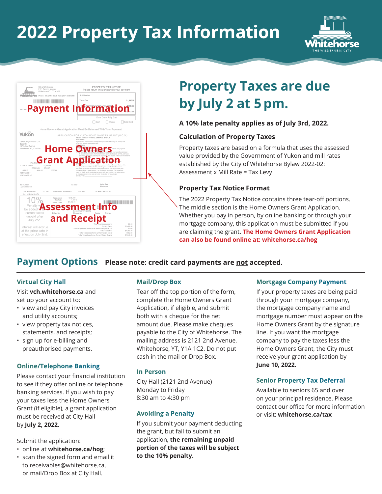## **2022 Property Tax Information**



| City of Whitehorse                                                           | 2121 Second Avenue<br>Whitehorse YT Y1A 1C2                                                |                                                                                                                                                                                                                                                                                                                                              | PROPERTY TAX NOTICE<br>Please return this portion with your payment                                                                            |                                                                                                    |
|------------------------------------------------------------------------------|--------------------------------------------------------------------------------------------|----------------------------------------------------------------------------------------------------------------------------------------------------------------------------------------------------------------------------------------------------------------------------------------------------------------------------------------------|------------------------------------------------------------------------------------------------------------------------------------------------|----------------------------------------------------------------------------------------------------|
|                                                                              | <b>Whitehorse</b> Phone: (867) 668-8608 Fax: (867) 668-8398                                | Roll Number                                                                                                                                                                                                                                                                                                                                  |                                                                                                                                                |                                                                                                    |
|                                                                              |                                                                                            | Taxes Due                                                                                                                                                                                                                                                                                                                                    |                                                                                                                                                | \$1,492.58                                                                                         |
|                                                                              | <b>Payment Information</b>                                                                 |                                                                                                                                                                                                                                                                                                                                              |                                                                                                                                                | \$992.58                                                                                           |
|                                                                              |                                                                                            |                                                                                                                                                                                                                                                                                                                                              | Due Date July 2nd                                                                                                                              |                                                                                                    |
|                                                                              |                                                                                            |                                                                                                                                                                                                                                                                                                                                              | Cash<br>Cheque                                                                                                                                 | Debit Card                                                                                         |
|                                                                              | Home Owner's Grant Application Must Be Returned With Your Payment                          |                                                                                                                                                                                                                                                                                                                                              |                                                                                                                                                |                                                                                                    |
| Yukon                                                                        |                                                                                            | APPLICATION FOR YUKON HOME OWNERS' GRANT (H.O.G.)<br>GRANT SUBJECT TO FINAL APPROVAL BY Y.T.G.                                                                                                                                                                                                                                               |                                                                                                                                                |                                                                                                    |
| Community Services C-9<br>Box 2703                                           |                                                                                            | ELIGIBILITY<br>If you owned and resided in a single family residential dwelling on January 1st<br>or for 184 days in this taxation year.<br>PROCFOURE                                                                                                                                                                                        |                                                                                                                                                |                                                                                                    |
| 2071 - 2nd Avenue<br>Whitehorse, YT, Y1A 2C6                                 |                                                                                            |                                                                                                                                                                                                                                                                                                                                              |                                                                                                                                                |                                                                                                    |
| ELIGIBLE TAXES<br>REGULAR<br>\$450.00<br>GRANT<br>MORTGAGE #<br>MORTGAGE CO. | <b>Home O</b><br><b>Grant App</b><br>\$1,492.58<br>SENIOR<br>\$500.00                      | the owner, purchaser, or lessee of this property since January 1 of this year;<br>I have occupied it since January 1 as my normal residence. This property is<br>used for single family residential purposes only and that the information given<br>in this application is true and correct to the best of my knowledge.<br><b>SIGNATURE</b> | submit, with payment,<br>Тe<br>wived a Herma Owners' Grant on this<br>ry residence in Yukon for this calendar year. I certify that I have been | s, you have two options:<br>et Declaration, to YTG, after July<br>ue and the Yukon Government will |
| Roll Number<br>Legal Description                                             | Tax Year                                                                                   |                                                                                                                                                                                                                                                                                                                                              | Notice Date<br>Mortgage #                                                                                                                      |                                                                                                    |
| Land Assessment<br>\$27,200<br>Copy of Notice Sent To                        | Improvement Assessment                                                                     | \$108,860                                                                                                                                                                                                                                                                                                                                    | Tax Rate Category RS1                                                                                                                          |                                                                                                    |
| Penalty w<br>be added t<br>current taxes                                     | Assessment<br>\$136,060<br>Tax Rate:<br>1.097%<br>\$1,492.58<br>Current Taxes<br>Bylaw No. | \$50<br>\$45<br>Description<br>Expiry                                                                                                                                                                                                                                                                                                        | Charge                                                                                                                                         |                                                                                                    |
| unpaid after<br>July 2nd.                                                    | and Rece                                                                                   |                                                                                                                                                                                                                                                                                                                                              | ocal Improvements                                                                                                                              | \$0.00                                                                                             |

## **Property Taxes are due by July 2 at 5 pm.**

#### **A 10% late penalty applies as of July 3rd, 2022.**

#### **Calculation of Property Taxes**

Property taxes are based on a formula that uses the assessed value provided by the Government of Yukon and mill rates established by the City of Whitehorse Bylaw 2022-02: Assessment x Mill Rate = Tax Levy

#### **Property Tax Notice Format**

The 2022 Property Tax Notice contains three tear-off portions. The middle section is the Home Owners Grant Application. Whether you pay in person, by online banking or through your mortgage company, this application must be submitted if you are claiming the grant. **The Home Owners Grant Application can also be found online at: whitehorse.ca/hog**

#### **Payment Options** Please note: credit card payments are not accepted.

#### **Virtual City Hall**

Visit **vch.whitehorse.ca** and set up your account to:

- view and pay City invoices and utility accounts;
- view property tax notices, statements, and receipts;
- sign up for e-billing and preauthorised payments.

#### **Online/Telephone Banking**

Please contact your financial institution to see if they offer online or telephone banking services. If you wish to pay your taxes less the Home Owners Grant (if eligible), a grant application must be received at City Hall by **July 2, 2022**.

Submit the application:

- online at **whitehorse.ca/hog**;
- scan the signed form and email it to receivables@whitehorse.ca, or mail/Drop Box at City Hall.

#### **Mail/Drop Box**

Tear off the top portion of the form, complete the Home Owners Grant Application, if eligible, and submit both with a cheque for the net amount due. Please make cheques payable to the City of Whitehorse. The mailing address is 2121 2nd Avenue, Whitehorse, YT, Y1A 1C2. Do not put cash in the mail or Drop Box.

#### **In Person**

City Hall (2121 2nd Avenue) Monday to Friday 8:30 am to 4:30 pm

#### **Avoiding a Penalty**

If you submit your payment deducting the grant, but fail to submit an application, **the remaining unpaid portion of the taxes will be subject to the 10% penalty.**

#### **Mortgage Company Payment**

If your property taxes are being paid through your mortgage company, the mortgage company name and mortgage number must appear on the Home Owners Grant by the signature line. If you want the mortgage company to pay the taxes less the Home Owners Grant, the City must receive your grant application by **June 10, 2022.** 

#### **Senior Property Tax Deferral**

Available to seniors 65 and over on your principal residence. Please contact our office for more information or visit: **whitehorse.ca/tax**